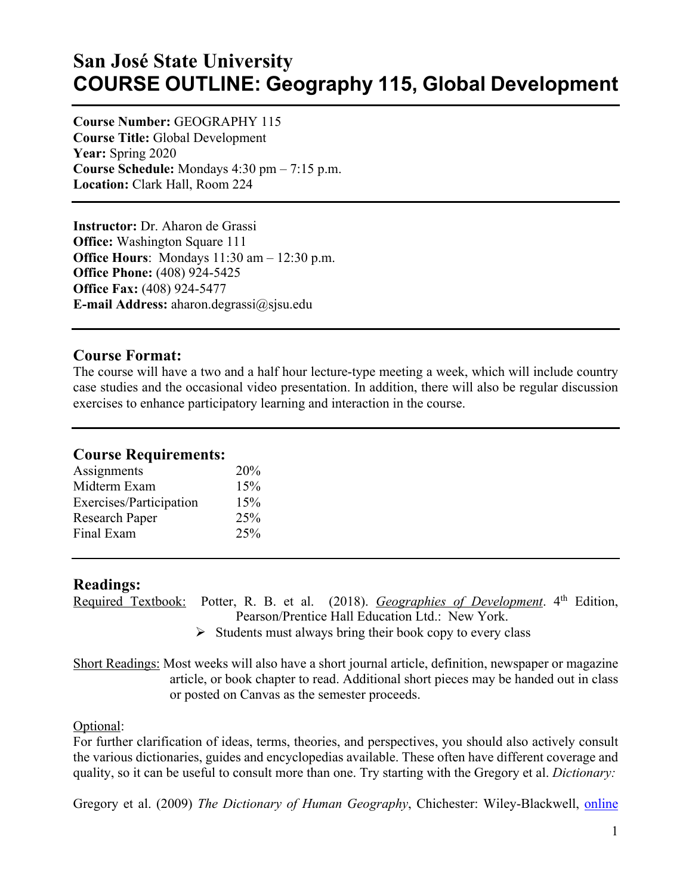# **San José State University COURSE OUTLINE: Geography 115, Global Development**

**Course Number:** GEOGRAPHY 115 **Course Title:** Global Development **Year:** Spring 2020 **Course Schedule:** Mondays 4:30 pm – 7:15 p.m. **Location:** Clark Hall, Room 224

**Instructor:** Dr. Aharon de Grassi **Office:** Washington Square 111 **Office Hours**: Mondays 11:30 am – 12:30 p.m. **Office Phone:** (408) 924-5425 **Office Fax:** (408) 924-5477 **E-mail Address:** aharon.degrassi@sjsu.edu

#### **Course Format:**

The course will have a two and a half hour lecture-type meeting a week, which will include country case studies and the occasional video presentation. In addition, there will also be regular discussion exercises to enhance participatory learning and interaction in the course.

#### **Course Requirements:**

| Assignments             | 20% |
|-------------------------|-----|
| Midterm Exam            | 15% |
| Exercises/Participation | 15% |
| Research Paper          | 25% |
| Final Exam              | 25% |
|                         |     |

#### **Readings:**

Required Textbook:Potter, R. B. et al. (2018). *Geographies of Development*. 4th Edition, Pearson/Prentice Hall Education Ltd.: New York.

 $\triangleright$  Students must always bring their book copy to every class

Short Readings: Most weeks will also have a short journal article, definition, newspaper or magazine article, or book chapter to read. Additional short pieces may be handed out in class or posted on Canvas as the semester proceeds.

#### Optional:

For further clarification of ideas, terms, theories, and perspectives, you should also actively consult the various dictionaries, guides and encyclopedias available. These often have different coverage and quality, so it can be useful to consult more than one. Try starting with the Gregory et al. *Dictionary:*

Gregory et al. (2009) *The Dictionary of Human Geography*, Chichester: Wiley-Blackwell, online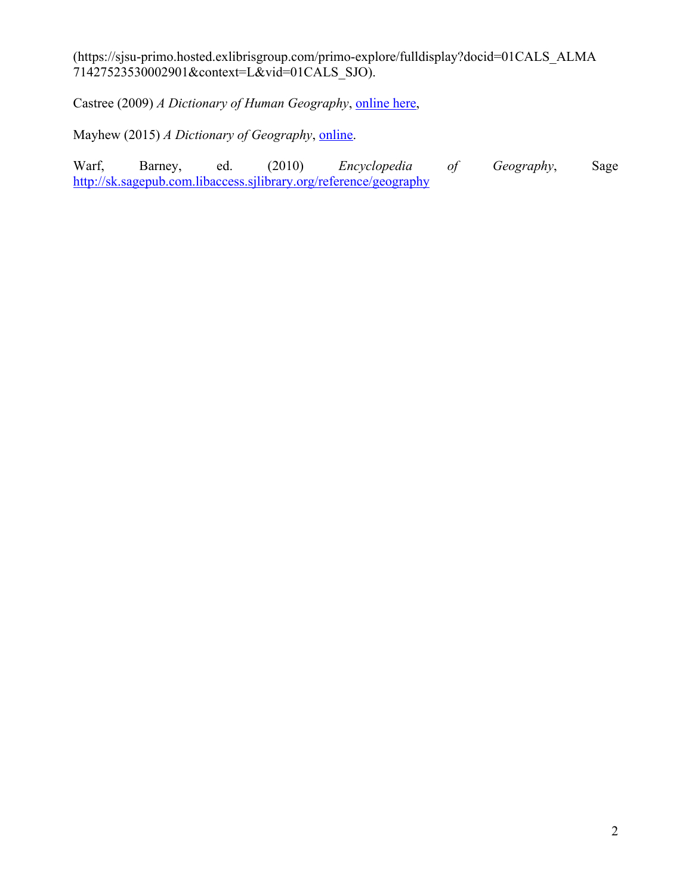(https://sjsu-primo.hosted.exlibrisgroup.com/primo-explore/fulldisplay?docid=01CALS\_ALMA 71427523530002901&context=L&vid=01CALS\_SJO).

Castree (2009) *A Dictionary of Human Geography*, online here,

Mayhew (2015) *A Dictionary of Geography*, *online*.

Warf, Barney, ed. (2010) *Encyclopedia of Geography*, Sage http://sk.sagepub.com.libaccess.sjlibrary.org/reference/geography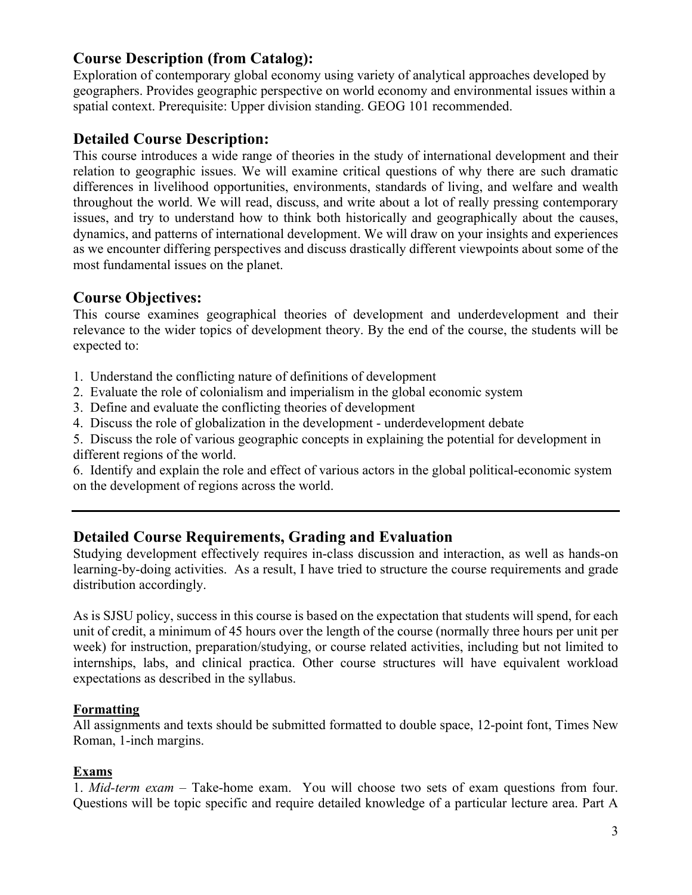## **Course Description (from Catalog):**

Exploration of contemporary global economy using variety of analytical approaches developed by geographers. Provides geographic perspective on world economy and environmental issues within a spatial context. Prerequisite: Upper division standing. GEOG 101 recommended.

### **Detailed Course Description:**

This course introduces a wide range of theories in the study of international development and their relation to geographic issues. We will examine critical questions of why there are such dramatic differences in livelihood opportunities, environments, standards of living, and welfare and wealth throughout the world. We will read, discuss, and write about a lot of really pressing contemporary issues, and try to understand how to think both historically and geographically about the causes, dynamics, and patterns of international development. We will draw on your insights and experiences as we encounter differing perspectives and discuss drastically different viewpoints about some of the most fundamental issues on the planet.

### **Course Objectives:**

This course examines geographical theories of development and underdevelopment and their relevance to the wider topics of development theory. By the end of the course, the students will be expected to:

- 1. Understand the conflicting nature of definitions of development
- 2. Evaluate the role of colonialism and imperialism in the global economic system
- 3. Define and evaluate the conflicting theories of development
- 4. Discuss the role of globalization in the development underdevelopment debate

5. Discuss the role of various geographic concepts in explaining the potential for development in different regions of the world.

6. Identify and explain the role and effect of various actors in the global political-economic system on the development of regions across the world.

### **Detailed Course Requirements, Grading and Evaluation**

Studying development effectively requires in-class discussion and interaction, as well as hands-on learning-by-doing activities. As a result, I have tried to structure the course requirements and grade distribution accordingly.

As is SJSU policy, success in this course is based on the expectation that students will spend, for each unit of credit, a minimum of 45 hours over the length of the course (normally three hours per unit per week) for instruction, preparation/studying, or course related activities, including but not limited to internships, labs, and clinical practica. Other course structures will have equivalent workload expectations as described in the syllabus.

#### **Formatting**

All assignments and texts should be submitted formatted to double space, 12-point font, Times New Roman, 1-inch margins.

#### **Exams**

1. *Mid-term exam* – Take-home exam. You will choose two sets of exam questions from four. Questions will be topic specific and require detailed knowledge of a particular lecture area. Part A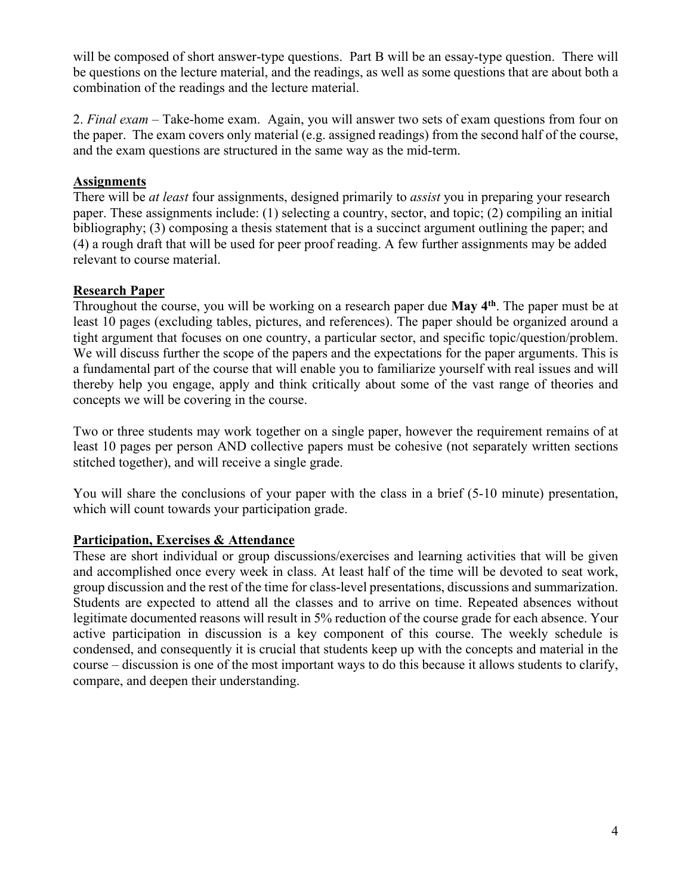will be composed of short answer-type questions. Part B will be an essay-type question. There will be questions on the lecture material, and the readings, as well as some questions that are about both a combination of the readings and the lecture material.

2. *Final exam* – Take-home exam. Again, you will answer two sets of exam questions from four on the paper. The exam covers only material (e.g. assigned readings) from the second half of the course, and the exam questions are structured in the same way as the mid-term.

#### **Assignments**

There will be *at least* four assignments, designed primarily to *assist* you in preparing your research paper. These assignments include: (1) selecting a country, sector, and topic; (2) compiling an initial bibliography; (3) composing a thesis statement that is a succinct argument outlining the paper; and (4) a rough draft that will be used for peer proof reading. A few further assignments may be added relevant to course material.

#### **Research Paper**

Throughout the course, you will be working on a research paper due **May 4th**. The paper must be at least 10 pages (excluding tables, pictures, and references). The paper should be organized around a tight argument that focuses on one country, a particular sector, and specific topic/question/problem. We will discuss further the scope of the papers and the expectations for the paper arguments. This is a fundamental part of the course that will enable you to familiarize yourself with real issues and will thereby help you engage, apply and think critically about some of the vast range of theories and concepts we will be covering in the course.

Two or three students may work together on a single paper, however the requirement remains of at least 10 pages per person AND collective papers must be cohesive (not separately written sections stitched together), and will receive a single grade.

You will share the conclusions of your paper with the class in a brief (5-10 minute) presentation, which will count towards your participation grade.

#### **Participation, Exercises & Attendance**

These are short individual or group discussions/exercises and learning activities that will be given and accomplished once every week in class. At least half of the time will be devoted to seat work, group discussion and the rest of the time for class-level presentations, discussions and summarization. Students are expected to attend all the classes and to arrive on time. Repeated absences without legitimate documented reasons will result in 5% reduction of the course grade for each absence. Your active participation in discussion is a key component of this course. The weekly schedule is condensed, and consequently it is crucial that students keep up with the concepts and material in the course – discussion is one of the most important ways to do this because it allows students to clarify, compare, and deepen their understanding.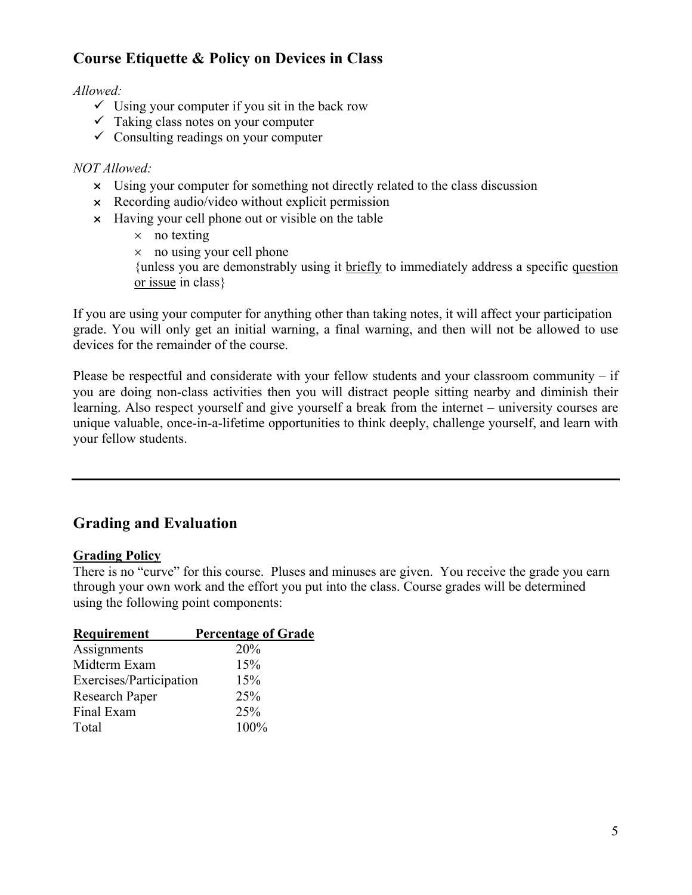## **Course Etiquette & Policy on Devices in Class**

#### *Allowed:*

- $\checkmark$  Using your computer if you sit in the back row
- $\checkmark$  Taking class notes on your computer
- $\checkmark$  Consulting readings on your computer

#### *NOT Allowed:*

- $\times$  Using your computer for something not directly related to the class discussion
- $\times$  Recording audio/video without explicit permission
- $\times$  Having your cell phone out or visible on the table
	- $\times$  no texting
	- $\times$  no using your cell phone

{unless you are demonstrably using it briefly to immediately address a specific question or issue in class}

If you are using your computer for anything other than taking notes, it will affect your participation grade. You will only get an initial warning, a final warning, and then will not be allowed to use devices for the remainder of the course.

Please be respectful and considerate with your fellow students and your classroom community – if you are doing non-class activities then you will distract people sitting nearby and diminish their learning. Also respect yourself and give yourself a break from the internet – university courses are unique valuable, once-in-a-lifetime opportunities to think deeply, challenge yourself, and learn with your fellow students.

## **Grading and Evaluation**

#### **Grading Policy**

There is no "curve" for this course. Pluses and minuses are given. You receive the grade you earn through your own work and the effort you put into the class. Course grades will be determined using the following point components:

| <b>Requirement</b>      | <b>Percentage of Grade</b> |
|-------------------------|----------------------------|
| Assignments             | 20%                        |
| Midterm Exam            | 15%                        |
| Exercises/Participation | 15%                        |
| <b>Research Paper</b>   | 25%                        |
| Final Exam              | 25%                        |
| Total                   | 100%                       |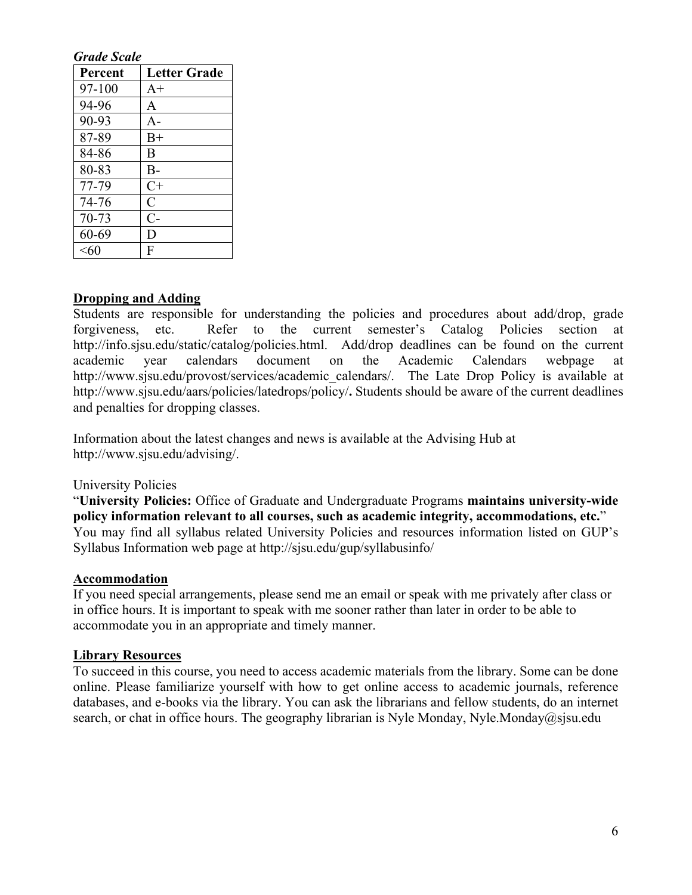#### *Grade Scale*

| Percent   | <b>Letter Grade</b> |
|-----------|---------------------|
| 97-100    | $A+$                |
| 94-96     | $\mathbf{A}$        |
| 90-93     | $A-$                |
| 87-89     | $B+$                |
| 84-86     | B                   |
| 80-83     | $B-$                |
| 77-79     | $C+$                |
| 74-76     | $\mathsf{C}$        |
| $70 - 73$ | $C-$                |
| 60-69     | D                   |
| $<$ 60    | F                   |

#### **Dropping and Adding**

Students are responsible for understanding the policies and procedures about add/drop, grade forgiveness, etc. Refer to the current semester's Catalog Policies section at http://info.sjsu.edu/static/catalog/policies.html. Add/drop deadlines can be found on the current academic year calendars document on the Academic Calendars webpage at http://www.sjsu.edu/provost/services/academic calendars/. The Late Drop Policy is available at http://www.sjsu.edu/aars/policies/latedrops/policy/**.** Students should be aware of the current deadlines and penalties for dropping classes.

Information about the latest changes and news is available at the Advising Hub at http://www.sjsu.edu/advising/.

#### University Policies

"**University Policies:** Office of Graduate and Undergraduate Programs **maintains university-wide policy information relevant to all courses, such as academic integrity, accommodations, etc.**" You may find all syllabus related University Policies and resources information listed on GUP's Syllabus Information web page at http://sjsu.edu/gup/syllabusinfo/

#### **Accommodation**

If you need special arrangements, please send me an email or speak with me privately after class or in office hours. It is important to speak with me sooner rather than later in order to be able to accommodate you in an appropriate and timely manner.

#### **Library Resources**

To succeed in this course, you need to access academic materials from the library. Some can be done online. Please familiarize yourself with how to get online access to academic journals, reference databases, and e-books via the library. You can ask the librarians and fellow students, do an internet search, or chat in office hours. The geography librarian is Nyle Monday, Nyle.Monday@sjsu.edu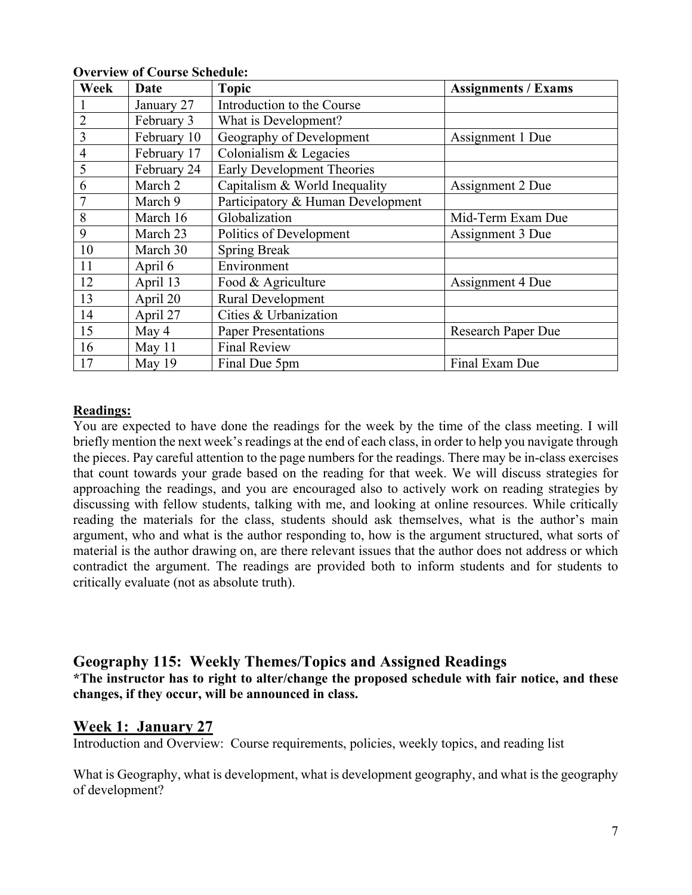| Week           | Date        | <b>Topic</b>                      | <b>Assignments / Exams</b> |
|----------------|-------------|-----------------------------------|----------------------------|
|                | January 27  | Introduction to the Course        |                            |
| $\overline{2}$ | February 3  | What is Development?              |                            |
| 3              | February 10 | Geography of Development          | Assignment 1 Due           |
| $\overline{4}$ | February 17 | Colonialism & Legacies            |                            |
| 5              | February 24 | <b>Early Development Theories</b> |                            |
| 6              | March 2     | Capitalism & World Inequality     | Assignment 2 Due           |
|                | March 9     | Participatory & Human Development |                            |
| 8              | March 16    | Globalization                     | Mid-Term Exam Due          |
| 9              | March 23    | Politics of Development           | Assignment 3 Due           |
| 10             | March 30    | <b>Spring Break</b>               |                            |
| 11             | April 6     | Environment                       |                            |
| 12             | April 13    | Food & Agriculture                | Assignment 4 Due           |
| 13             | April 20    | Rural Development                 |                            |
| 14             | April 27    | Cities & Urbanization             |                            |
| 15             | May 4       | <b>Paper Presentations</b>        | Research Paper Due         |
| 16             | May $11$    | <b>Final Review</b>               |                            |
| 17             | May 19      | Final Due 5pm                     | Final Exam Due             |

#### **Overview of Course Schedule:**

#### **Readings:**

You are expected to have done the readings for the week by the time of the class meeting. I will briefly mention the next week's readings at the end of each class, in order to help you navigate through the pieces. Pay careful attention to the page numbers for the readings. There may be in-class exercises that count towards your grade based on the reading for that week. We will discuss strategies for approaching the readings, and you are encouraged also to actively work on reading strategies by discussing with fellow students, talking with me, and looking at online resources. While critically reading the materials for the class, students should ask themselves, what is the author's main argument, who and what is the author responding to, how is the argument structured, what sorts of material is the author drawing on, are there relevant issues that the author does not address or which contradict the argument. The readings are provided both to inform students and for students to critically evaluate (not as absolute truth).

#### **Geography 115: Weekly Themes/Topics and Assigned Readings \*The instructor has to right to alter/change the proposed schedule with fair notice, and these changes, if they occur, will be announced in class.**

#### **Week 1: January 27**

Introduction and Overview: Course requirements, policies, weekly topics, and reading list

What is Geography, what is development, what is development geography, and what is the geography of development?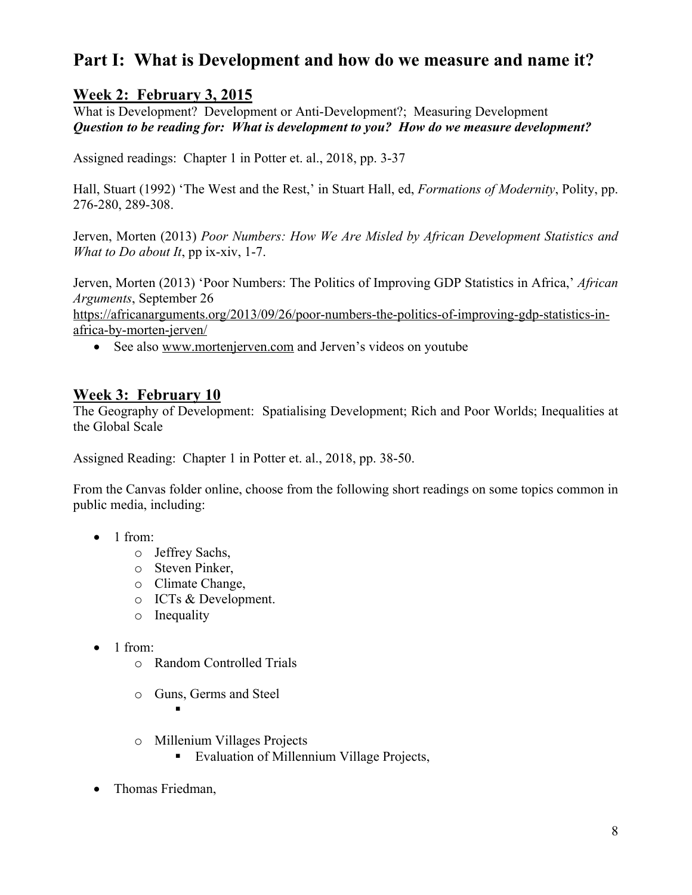## **Part I: What is Development and how do we measure and name it?**

## **Week 2: February 3, 2015**

What is Development? Development or Anti-Development?; Measuring Development *Question to be reading for: What is development to you? How do we measure development?*

Assigned readings: Chapter 1 in Potter et. al., 2018, pp. 3-37

Hall, Stuart (1992) 'The West and the Rest,' in Stuart Hall, ed, *Formations of Modernity*, Polity, pp. 276-280, 289-308.

Jerven, Morten (2013) *Poor Numbers: How We Are Misled by African Development Statistics and What to Do about It*, pp ix-xiv, 1-7.

Jerven, Morten (2013) 'Poor Numbers: The Politics of Improving GDP Statistics in Africa,' *African Arguments*, September 26

https://africanarguments.org/2013/09/26/poor-numbers-the-politics-of-improving-gdp-statistics-inafrica-by-morten-jerven/

• See also www.mortenjerven.com and Jerven's videos on youtube

#### **Week 3: February 10**

The Geography of Development: Spatialising Development; Rich and Poor Worlds; Inequalities at the Global Scale

Assigned Reading: Chapter 1 in Potter et. al., 2018, pp. 38-50.

From the Canvas folder online, choose from the following short readings on some topics common in public media, including:

- $\bullet$  1 from:
	- o Jeffrey Sachs,
	- o Steven Pinker,
	- o Climate Change,
	- o ICTs & Development.
	- o Inequality
- 1 from:
	- o Random Controlled Trials
	- o Guns, Germs and Steel

§

- o Millenium Villages Projects
	- Evaluation of Millennium Village Projects,
- Thomas Friedman,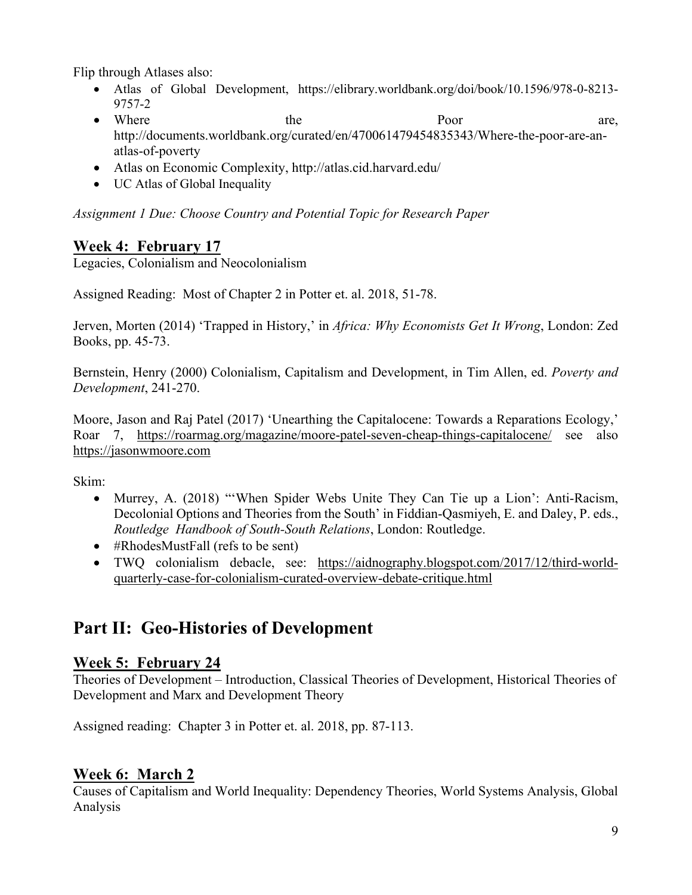Flip through Atlases also:

- Atlas of Global Development, https://elibrary.worldbank.org/doi/book/10.1596/978-0-8213- 9757-2
- Where the Poor are, http://documents.worldbank.org/curated/en/470061479454835343/Where-the-poor-are-anatlas-of-poverty
- Atlas on Economic Complexity, http://atlas.cid.harvard.edu/
- UC Atlas of Global Inequality

*Assignment 1 Due: Choose Country and Potential Topic for Research Paper*

## **Week 4: February 17**

Legacies, Colonialism and Neocolonialism

Assigned Reading: Most of Chapter 2 in Potter et. al. 2018, 51-78.

Jerven, Morten (2014) 'Trapped in History,' in *Africa: Why Economists Get It Wrong*, London: Zed Books, pp. 45-73.

Bernstein, Henry (2000) Colonialism, Capitalism and Development, in Tim Allen, ed. *Poverty and Development*, 241-270.

Moore, Jason and Raj Patel (2017) 'Unearthing the Capitalocene: Towards a Reparations Ecology,' Roar 7, https://roarmag.org/magazine/moore-patel-seven-cheap-things-capitalocene/ see also https://jasonwmoore.com

Skim:

- Murrey, A. (2018) "When Spider Webs Unite They Can Tie up a Lion': Anti-Racism, Decolonial Options and Theories from the South' in Fiddian-Qasmiyeh, E. and Daley, P. eds., *Routledge Handbook of South-South Relations*, London: Routledge.
- #RhodesMustFall (refs to be sent)
- TWQ colonialism debacle, see: https://aidnography.blogspot.com/2017/12/third-worldquarterly-case-for-colonialism-curated-overview-debate-critique.html

## **Part II: Geo-Histories of Development**

## **Week 5: February 24**

Theories of Development – Introduction, Classical Theories of Development, Historical Theories of Development and Marx and Development Theory

Assigned reading: Chapter 3 in Potter et. al. 2018, pp. 87-113.

### **Week 6: March 2**

Causes of Capitalism and World Inequality: Dependency Theories, World Systems Analysis, Global Analysis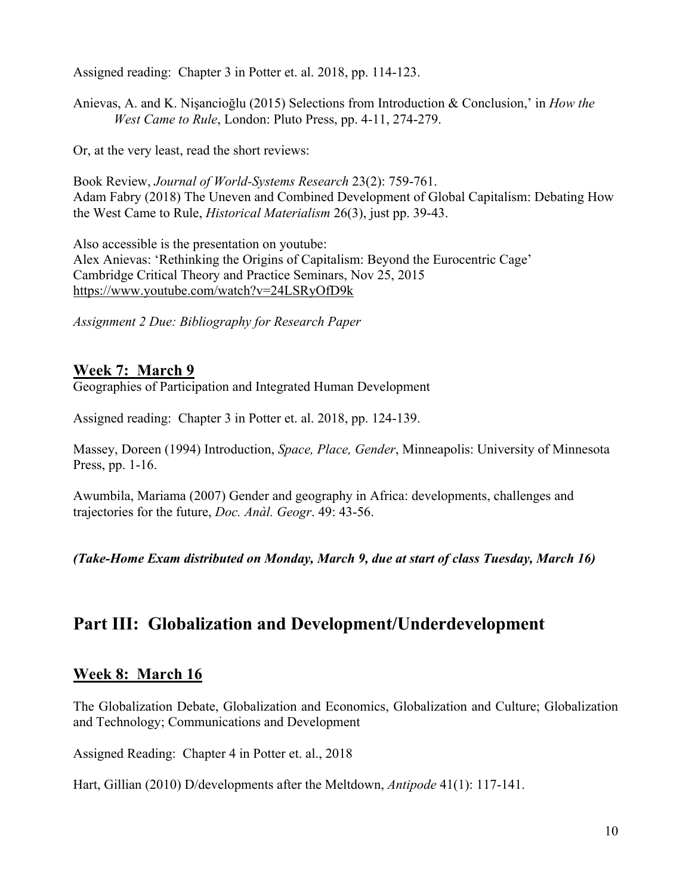Assigned reading: Chapter 3 in Potter et. al. 2018, pp. 114-123.

Anievas, A. and K. Nişancioğlu (2015) Selections from Introduction & Conclusion,' in *How the West Came to Rule*, London: Pluto Press, pp. 4-11, 274-279.

Or, at the very least, read the short reviews:

Book Review, *Journal of World-Systems Research* 23(2): 759-761. Adam Fabry (2018) The Uneven and Combined Development of Global Capitalism: Debating How the West Came to Rule, *Historical Materialism* 26(3), just pp. 39-43.

Also accessible is the presentation on youtube: Alex Anievas: 'Rethinking the Origins of Capitalism: Beyond the Eurocentric Cage' Cambridge Critical Theory and Practice Seminars, Nov 25, 2015 https://www.youtube.com/watch?v=24LSRyOfD9k

*Assignment 2 Due: Bibliography for Research Paper* 

#### **Week 7: March 9**

Geographies of Participation and Integrated Human Development

Assigned reading: Chapter 3 in Potter et. al. 2018, pp. 124-139.

Massey, Doreen (1994) Introduction, *Space, Place, Gender*, Minneapolis: University of Minnesota Press, pp. 1-16.

Awumbila, Mariama (2007) Gender and geography in Africa: developments, challenges and trajectories for the future, *Doc. Anàl. Geogr*. 49: 43-56.

*(Take-Home Exam distributed on Monday, March 9, due at start of class Tuesday, March 16)*

## **Part III: Globalization and Development/Underdevelopment**

#### **Week 8: March 16**

The Globalization Debate, Globalization and Economics, Globalization and Culture; Globalization and Technology; Communications and Development

Assigned Reading: Chapter 4 in Potter et. al., 2018

Hart, Gillian (2010) D/developments after the Meltdown, *Antipode* 41(1): 117-141.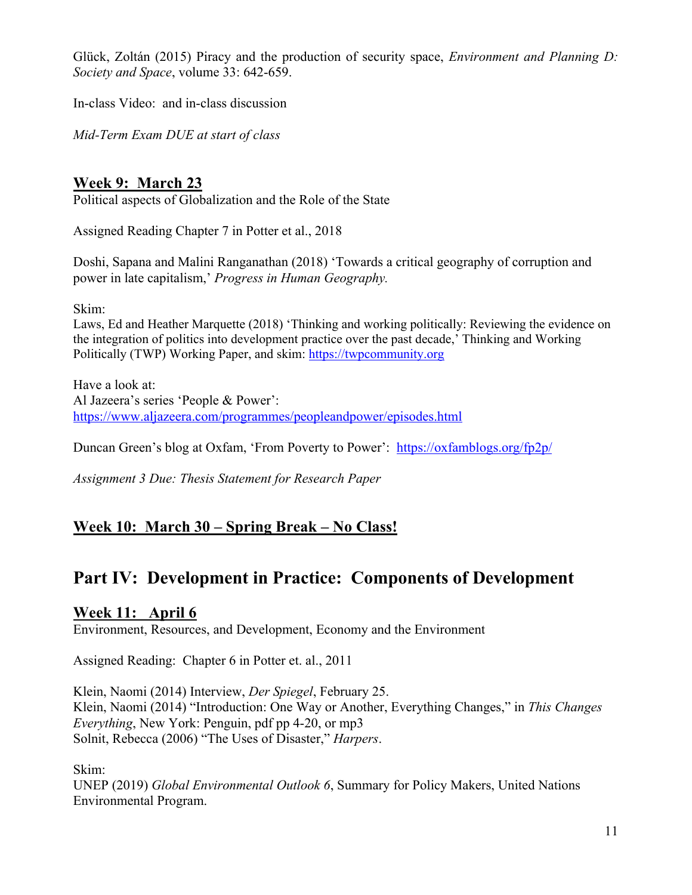Glück, Zoltán (2015) Piracy and the production of security space, *Environment and Planning D: Society and Space*, volume 33: 642-659.

In-class Video: and in-class discussion

*Mid-Term Exam DUE at start of class*

## **Week 9: March 23**

Political aspects of Globalization and the Role of the State

Assigned Reading Chapter 7 in Potter et al., 2018

Doshi, Sapana and Malini Ranganathan (2018) 'Towards a critical geography of corruption and power in late capitalism,' *Progress in Human Geography.*

Skim:

Laws, Ed and Heather Marquette (2018) 'Thinking and working politically: Reviewing the evidence on the integration of politics into development practice over the past decade,' Thinking and Working Politically (TWP) Working Paper, and skim: https://twpcommunity.org

Have a look at: Al Jazeera's series 'People & Power': https://www.aljazeera.com/programmes/peopleandpower/episodes.html

Duncan Green's blog at Oxfam, 'From Poverty to Power': https://oxfamblogs.org/fp2p/

*Assignment 3 Due: Thesis Statement for Research Paper*

## **Week 10: March 30 – Spring Break – No Class!**

## **Part IV: Development in Practice: Components of Development**

#### **Week 11: April 6**

Environment, Resources, and Development, Economy and the Environment

Assigned Reading: Chapter 6 in Potter et. al., 2011

Klein, Naomi (2014) Interview, *Der Spiegel*, February 25. Klein, Naomi (2014) "Introduction: One Way or Another, Everything Changes," in *This Changes Everything*, New York: Penguin, pdf pp 4‐20, or mp3 Solnit, Rebecca (2006) "The Uses of Disaster," *Harpers*.

Skim:

UNEP (2019) *Global Environmental Outlook 6*, Summary for Policy Makers, United Nations Environmental Program.